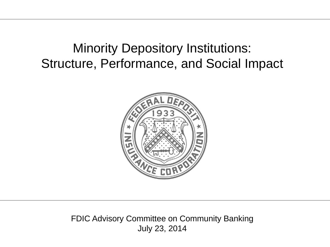# Minority Depository Institutions: Structure, Performance, and Social Impact



FDIC Advisory Committee on Community Banking July 23, 2014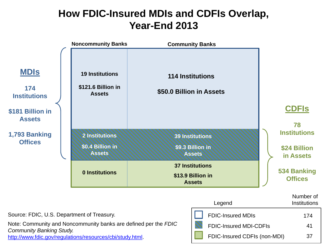## **How FDIC-Insured MDIs and CDFIs Overlap, Year-End 2013**



FDIC-Insured CDFIs (non-MDI)

37

[http://www.fdic.gov/regulations/resources/cbi/study.html.](http://www.fdic.gov/regulations/resources/cbi/study.html)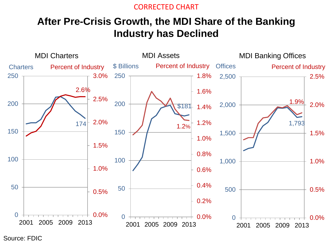#### CORRECTED CHART

#### **After Pre-Crisis Growth, the MDI Share of the Banking Industry has Declined**



Source: FDIC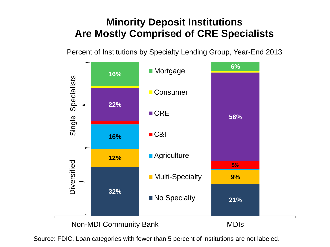## **Minority Deposit Institutions Are Mostly Comprised of CRE Specialists**

Percent of Institutions by Specialty Lending Group, Year-End 2013

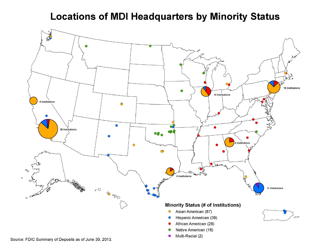#### **Locations of MDI Headquarters by Minority Status**



Source: FDIC Summary of Deposits as of June 30, 2013.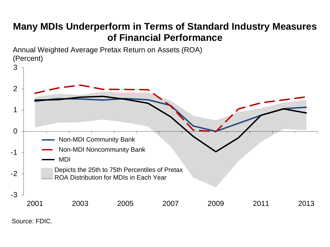#### **Many MDIs Underperform in Terms of Standard Industry Measures of Financial Performance**

Annual Weighted Average Pretax Return on Assets (ROA) (Percent)



Source: FDIC.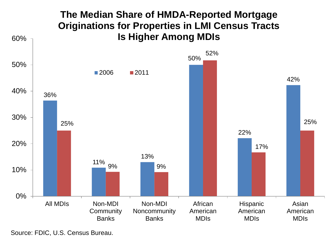

Source: FDIC, U.S. Census Bureau.